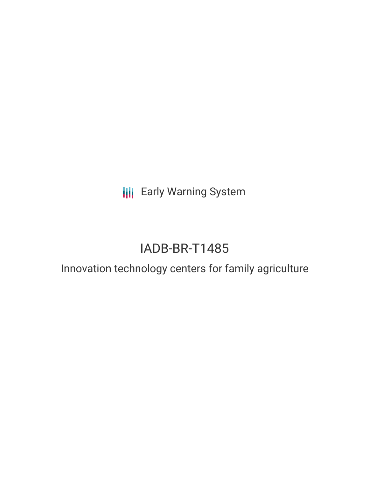**III** Early Warning System

# IADB-BR-T1485

## Innovation technology centers for family agriculture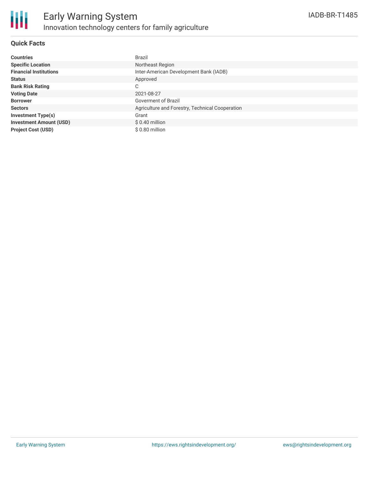

### **Quick Facts**

| <b>Countries</b>               | <b>Brazil</b>                                   |
|--------------------------------|-------------------------------------------------|
| <b>Specific Location</b>       | Northeast Region                                |
| <b>Financial Institutions</b>  | Inter-American Development Bank (IADB)          |
| <b>Status</b>                  | Approved                                        |
| <b>Bank Risk Rating</b>        | C                                               |
| <b>Voting Date</b>             | 2021-08-27                                      |
| <b>Borrower</b>                | Goverment of Brazil                             |
| <b>Sectors</b>                 | Agriculture and Forestry, Technical Cooperation |
| <b>Investment Type(s)</b>      | Grant                                           |
| <b>Investment Amount (USD)</b> | $$0.40$ million                                 |
| <b>Project Cost (USD)</b>      | \$0.80 million                                  |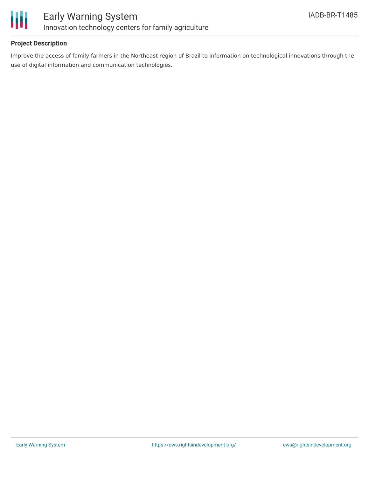

### **Project Description**

Improve the access of family farmers in the Northeast region of Brazil to information on technological innovations through the use of digital information and communication technologies.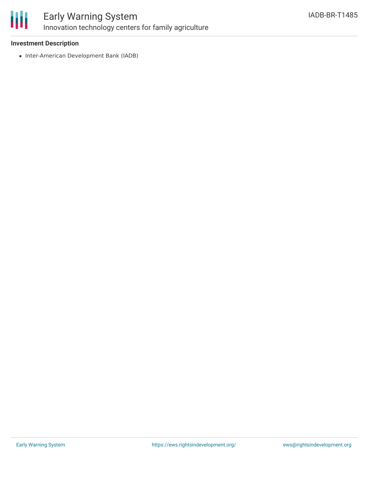

### Early Warning System Innovation technology centers for family agriculture

### **Investment Description**

• Inter-American Development Bank (IADB)